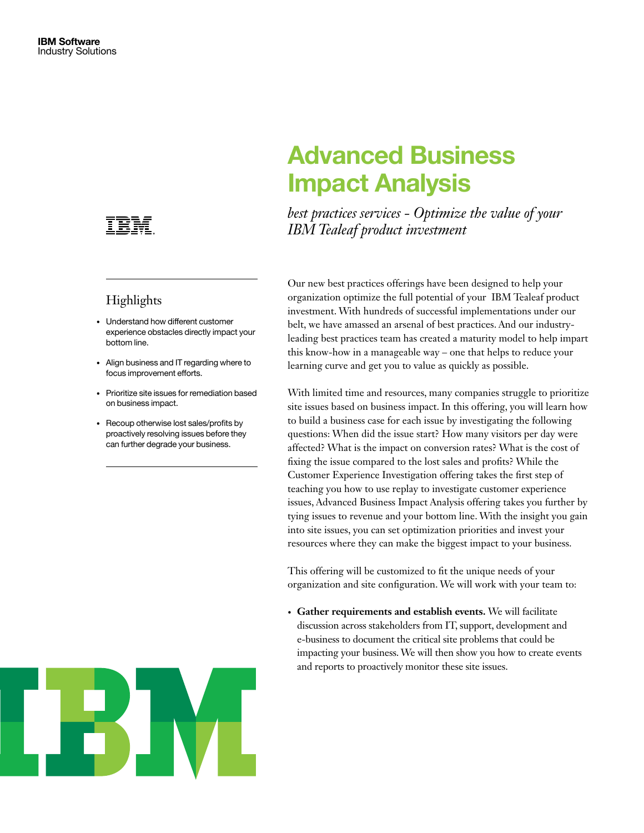

## **Highlights**

- • Understand how different customer experience obstacles directly impact your bottom line.
- Align business and IT regarding where to focus improvement efforts.
- • Prioritize site issues for remediation based on business impact.
- • Recoup otherwise lost sales/profits by proactively resolving issues before they can further degrade your business.

# Advanced Business Impact Analysis

*best practices services - Optimize the value of your IBM Tealeaf product investment*

Our new best practices offerings have been designed to help your organization optimize the full potential of your IBM Tealeaf product investment. With hundreds of successful implementations under our belt, we have amassed an arsenal of best practices. And our industryleading best practices team has created a maturity model to help impart this know-how in a manageable way – one that helps to reduce your learning curve and get you to value as quickly as possible.

With limited time and resources, many companies struggle to prioritize site issues based on business impact. In this offering, you will learn how to build a business case for each issue by investigating the following questions: When did the issue start? How many visitors per day were affected? What is the impact on conversion rates? What is the cost of fixing the issue compared to the lost sales and profits? While the Customer Experience Investigation offering takes the first step of teaching you how to use replay to investigate customer experience issues, Advanced Business Impact Analysis offering takes you further by tying issues to revenue and your bottom line. With the insight you gain into site issues, you can set optimization priorities and invest your resources where they can make the biggest impact to your business.

This offering will be customized to fit the unique needs of your organization and site configuration. We will work with your team to:

**• Gather requirements and establish events.** We will facilitate discussion across stakeholders from IT, support, development and e-business to document the critical site problems that could be impacting your business. We will then show you how to create events and reports to proactively monitor these site issues.

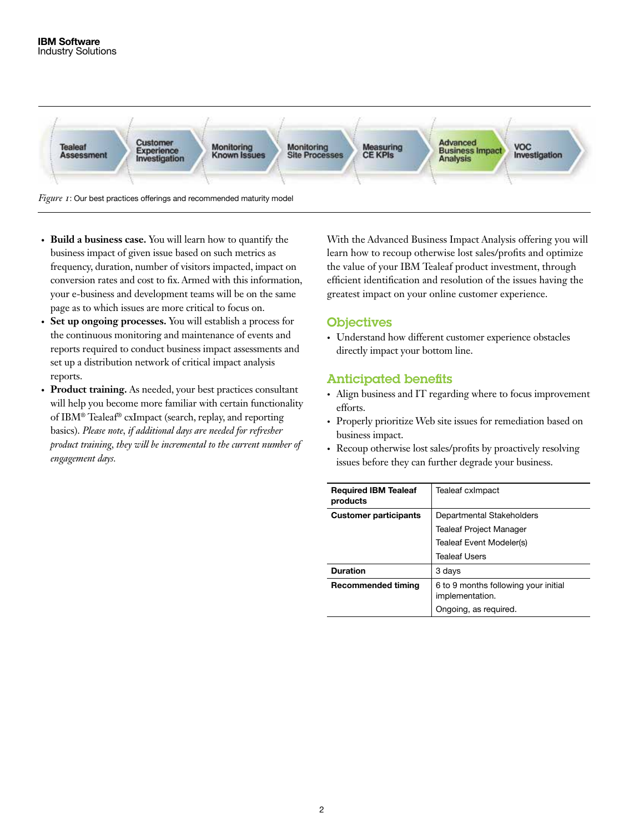

*Figure 1*: Our best practices offerings and recommended maturity model

- **• Build a business case.** You will learn how to quantify the business impact of given issue based on such metrics as frequency, duration, number of visitors impacted, impact on conversion rates and cost to fix. Armed with this information, your e-business and development teams will be on the same page as to which issues are more critical to focus on.
- **• Set up ongoing processes.** You will establish a process for the continuous monitoring and maintenance of events and reports required to conduct business impact assessments and set up a distribution network of critical impact analysis reports.
- **• Product training.** As needed, your best practices consultant will help you become more familiar with certain functionality of IBM® Tealeaf® cxImpact (search, replay, and reporting basics). *Please note, if additional days are needed for refresher product training, they will be incremental to the current number of engagement days.*

With the Advanced Business Impact Analysis offering you will learn how to recoup otherwise lost sales/profits and optimize the value of your IBM Tealeaf product investment, through efficient identification and resolution of the issues having the greatest impact on your online customer experience.

#### **Objectives**

• Understand how different customer experience obstacles directly impact your bottom line.

#### Anticipated benefits

- Align business and IT regarding where to focus improvement efforts.
- Properly prioritize Web site issues for remediation based on business impact.
- Recoup otherwise lost sales/profits by proactively resolving issues before they can further degrade your business.

| <b>Required IBM Tealeaf</b><br>products | Tealeaf cxlmpact                                        |
|-----------------------------------------|---------------------------------------------------------|
| <b>Customer participants</b>            | Departmental Stakeholders                               |
|                                         | <b>Tealeaf Project Manager</b>                          |
|                                         | Tealeaf Event Modeler(s)                                |
|                                         | <b>Tealeaf Users</b>                                    |
| <b>Duration</b>                         | 3 days                                                  |
| Recommended timing                      | 6 to 9 months following your initial<br>implementation. |
|                                         | Ongoing, as required.                                   |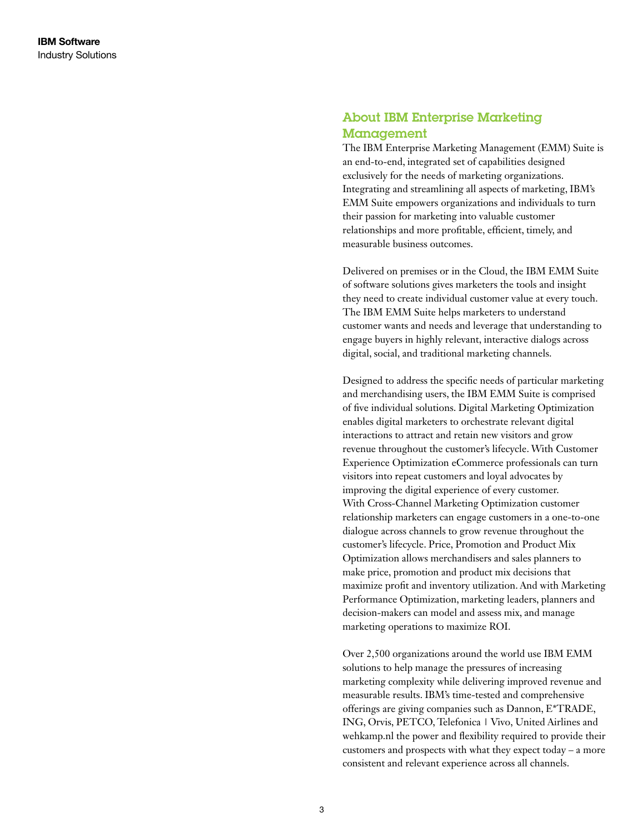### About IBM Enterprise Marketing Management

The IBM Enterprise Marketing Management (EMM) Suite is an end-to-end, integrated set of capabilities designed exclusively for the needs of marketing organizations. Integrating and streamlining all aspects of marketing, IBM's EMM Suite empowers organizations and individuals to turn their passion for marketing into valuable customer relationships and more profitable, efficient, timely, and measurable business outcomes.

Delivered on premises or in the Cloud, the IBM EMM Suite of software solutions gives marketers the tools and insight they need to create individual customer value at every touch. The IBM EMM Suite helps marketers to understand customer wants and needs and leverage that understanding to engage buyers in highly relevant, interactive dialogs across digital, social, and traditional marketing channels.

Designed to address the specific needs of particular marketing and merchandising users, the IBM EMM Suite is comprised of five individual solutions. Digital Marketing Optimization enables digital marketers to orchestrate relevant digital interactions to attract and retain new visitors and grow revenue throughout the customer's lifecycle. With Customer Experience Optimization eCommerce professionals can turn visitors into repeat customers and loyal advocates by improving the digital experience of every customer. With Cross-Channel Marketing Optimization customer relationship marketers can engage customers in a one-to-one dialogue across channels to grow revenue throughout the customer's lifecycle. Price, Promotion and Product Mix Optimization allows merchandisers and sales planners to make price, promotion and product mix decisions that maximize profit and inventory utilization. And with Marketing Performance Optimization, marketing leaders, planners and decision-makers can model and assess mix, and manage marketing operations to maximize ROI.

Over 2,500 organizations around the world use IBM EMM solutions to help manage the pressures of increasing marketing complexity while delivering improved revenue and measurable results. IBM's time-tested and comprehensive offerings are giving companies such as Dannon, E\*TRADE, ING, Orvis, PETCO, Telefonica | Vivo, United Airlines and wehkamp.nl the power and flexibility required to provide their customers and prospects with what they expect today – a more consistent and relevant experience across all channels.